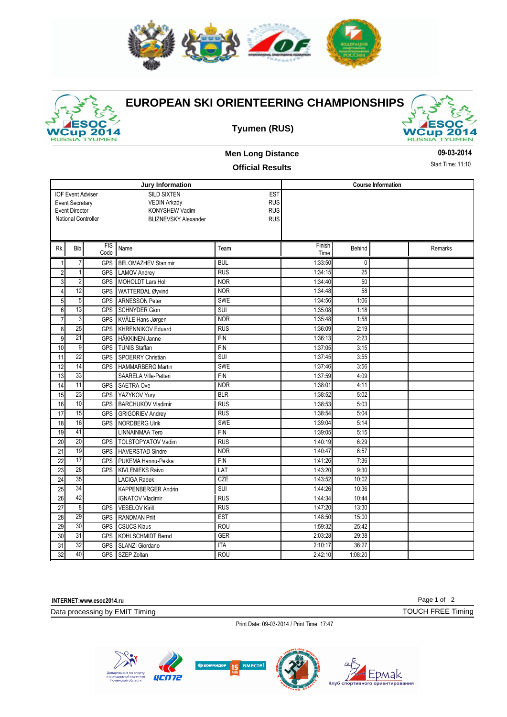



## **EUROPEAN SKI ORIENTEERING CHAMPIONSHIPS**





## **Men Long Distance**

**09-03-2014**

## **Official Results**

Start Time: 11:10

|                 |                            |            | Jury Information            | <b>Course Information</b> |         |                 |  |         |
|-----------------|----------------------------|------------|-----------------------------|---------------------------|---------|-----------------|--|---------|
|                 | <b>IOF Event Adviser</b>   |            | <b>SILD SIXTEN</b>          |                           |         |                 |  |         |
|                 | <b>Event Secretary</b>     |            | <b>VEDIN Arkady</b>         | <b>EST</b><br><b>RUS</b>  |         |                 |  |         |
|                 | <b>Event Director</b>      |            | KONYSHEW Vadim              | <b>RUS</b>                |         |                 |  |         |
|                 | <b>National Controller</b> |            | <b>BLIZNEVSKY Alexander</b> | <b>RUS</b>                |         |                 |  |         |
|                 |                            |            |                             |                           |         |                 |  |         |
|                 |                            |            |                             |                           |         |                 |  |         |
| Rk.             | <b>Bib</b>                 | <b>FIS</b> | Name                        | Team                      | Finish  | Behind          |  | Remarks |
|                 |                            | Code       |                             |                           | Time    |                 |  |         |
| $\mathbf{1}$    | $\overline{7}$             | <b>GPS</b> | <b>BELOMAZHEV Stanimir</b>  | <b>BUL</b>                | 1:33:50 | 0               |  |         |
| $\overline{2}$  | $\mathbf{1}$               | <b>GPS</b> | <b>LAMOV Andrey</b>         | <b>RUS</b>                | 1:34:15 | $\overline{25}$ |  |         |
| $\mathsf 3$     | $\overline{2}$             | <b>GPS</b> | MOHOLDT Lars Hol            | <b>NOR</b>                | 1:34:40 | 50              |  |         |
| $\overline{4}$  | $\overline{12}$            | <b>GPS</b> | WATTERDAL Øyvind            | <b>NOR</b>                | 1:34:48 | 58              |  |         |
| $5\overline{)}$ | 5                          | <b>GPS</b> | <b>ARNESSON Peter</b>       | <b>SWE</b>                | 1:34:56 | 1:06            |  |         |
| $6\,$           | $\overline{13}$            | <b>GPS</b> | <b>SCHNYDER Gion</b>        | <b>SUI</b>                | 1:35:08 | 1:18            |  |         |
| $\overline{7}$  | 3                          | <b>GPS</b> | <b>KVÅLE Hans Jørgen</b>    | <b>NOR</b>                | 1:35:48 | 1:58            |  |         |
| 8               | $\overline{25}$            | <b>GPS</b> | KHRENNIKOV Eduard           | <b>RUS</b>                | 1:36:09 | 2:19            |  |         |
| 9               | $\overline{21}$            | <b>GPS</b> | HÄKKINEN Janne              | <b>FIN</b>                | 1:36:13 | 2:23            |  |         |
| 10              | $\overline{9}$             | <b>GPS</b> | <b>TUNIS Staffan</b>        | <b>FIN</b>                | 1:37:05 | 3:15            |  |         |
| 11              | $\overline{22}$            | <b>GPS</b> | <b>SPOERRY Christian</b>    | SUI                       | 1:37:45 | 3:55            |  |         |
| $\overline{12}$ | 14                         | <b>GPS</b> | <b>HAMMARBERG Martin</b>    | <b>SWE</b>                | 1:37:46 | 3:56            |  |         |
| 13              | $\overline{33}$            |            | SAARELA Ville-Petteri       | <b>FIN</b>                | 1:37:59 | 4:09            |  |         |
| 14              | 11                         | <b>GPS</b> | SAETRA Ove                  | <b>NOR</b>                | 1:38:01 | 4:11            |  |         |
| 15              | $\overline{23}$            | <b>GPS</b> | YAZYKOV Yury                | <b>BLR</b>                | 1:38:52 | 5:02            |  |         |
| 16              | 10                         | <b>GPS</b> | <b>BARCHUKOV Vladimir</b>   | <b>RUS</b>                | 1:38:53 | 5:03            |  |         |
| $\overline{17}$ | $\overline{15}$            | <b>GPS</b> | <b>GRIGORIEV Andrey</b>     | RUS                       | 1:38:54 | 5:04            |  |         |
| 18              | 16                         | <b>GPS</b> | <b>NORDBERG Ulrik</b>       | <b>SWE</b>                | 1:39:04 | 5:14            |  |         |
| 19              | 41                         |            | LINNAINMAA Tero             | FIN                       | 1:39:05 | 5:15            |  |         |
| 20              | 20                         | <b>GPS</b> | <b>TOLSTOPYATOV Vadim</b>   | <b>RUS</b>                | 1:40:19 | 6:29            |  |         |
| 21              | $\overline{19}$            | <b>GPS</b> | HAVERSTAD Sindre            | <b>NOR</b>                | 1:40:47 | 6:57            |  |         |
| 22              | 17                         | <b>GPS</b> | PUKEMA Hannu-Pekka          | <b>FIN</b>                | 1:41:26 | 7:36            |  |         |
| $\overline{23}$ | $\overline{28}$            | <b>GPS</b> | <b>KIVLENIEKS Raivo</b>     | LAT                       | 1:43:20 | 9:30            |  |         |
| 24              | 35                         |            | <b>LACIGA Radek</b>         | CZE                       | 1:43:52 | 10:02           |  |         |
| 25              | $\overline{34}$            |            | <b>KAPPENBERGER Andrin</b>  | <b>SUI</b>                | 1:44:26 | 10:36           |  |         |
| 26              | 42                         |            | <b>IGNATOV Vladimir</b>     | <b>RUS</b>                | 1:44:34 | 10:44           |  |         |
| $\overline{27}$ | $\overline{8}$             | <b>GPS</b> | <b>VESELOV Kirill</b>       | <b>RUS</b>                | 1:47:20 | 13:30           |  |         |
| 28              | 29                         | <b>GPS</b> | <b>RANDMAN Priit</b>        | <b>EST</b>                | 1:48:50 | 15:00           |  |         |
| 29              | $\overline{30}$            | <b>GPS</b> | <b>CSUCS Klaus</b>          | <b>ROU</b>                | 1:59:32 | 25:42           |  |         |
| 30              | 31                         | <b>GPS</b> | <b>KOHLSCHMIDT Bernd</b>    | <b>GER</b>                | 2:03:28 | 29:38           |  |         |
| 31              | 32                         | <b>GPS</b> | SLANZI Giordano             | <b>ITA</b>                | 2:10:17 | 36:27           |  |         |
| 32              | 40                         |            | GPS SZEP Zoltan             | <b>ROU</b>                | 2:42:10 | 1:08:20         |  |         |

**INTERNET:www.esoc2014.ru**

Data processing by EMIT Timing

Print Date: 09-03-2014 / Print Time: 17:47



Page 1 of 2 TOUCH FREE Timing